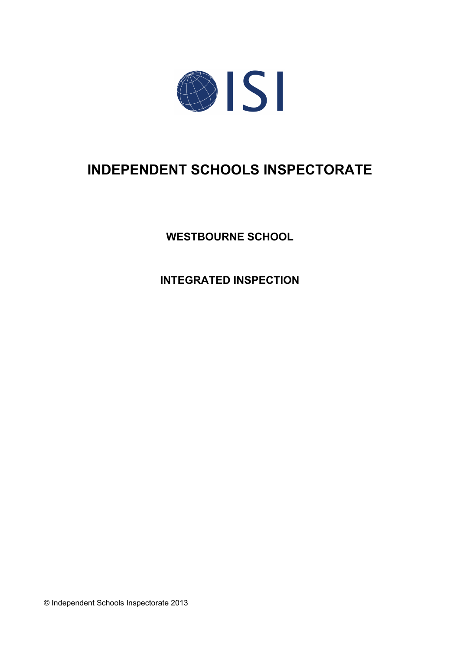

# **INDEPENDENT SCHOOLS INSPECTORATE**

**WESTBOURNE SCHOOL**

**INTEGRATED INSPECTION**

© Independent Schools Inspectorate 2013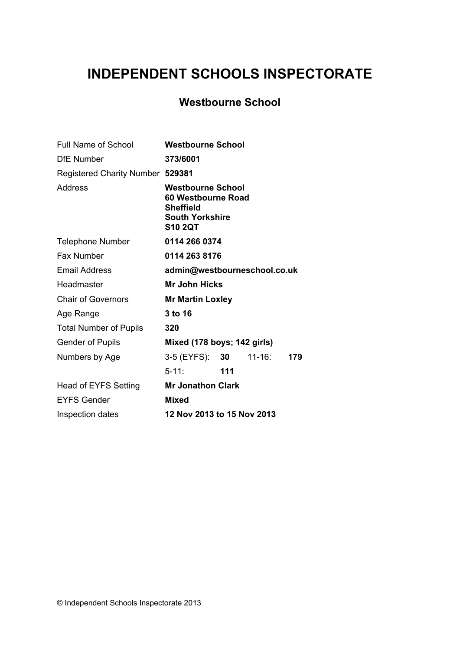# **INDEPENDENT SCHOOLS INSPECTORATE**

# **Westbourne School**

| <b>Full Name of School</b>       | <b>Westbourne School</b>                                                                                       |     |             |     |
|----------------------------------|----------------------------------------------------------------------------------------------------------------|-----|-------------|-----|
| <b>DfE</b> Number                | 373/6001                                                                                                       |     |             |     |
| Registered Charity Number 529381 |                                                                                                                |     |             |     |
| <b>Address</b>                   | <b>Westbourne School</b><br>60 Westbourne Road<br><b>Sheffield</b><br><b>South Yorkshire</b><br><b>S10 2QT</b> |     |             |     |
| <b>Telephone Number</b>          | 0114 266 0374                                                                                                  |     |             |     |
| Fax Number                       | 0114 263 8176                                                                                                  |     |             |     |
| <b>Email Address</b>             | admin@westbourneschool.co.uk                                                                                   |     |             |     |
| Headmaster                       | <b>Mr John Hicks</b>                                                                                           |     |             |     |
| <b>Chair of Governors</b>        | <b>Mr Martin Loxley</b>                                                                                        |     |             |     |
| Age Range                        | 3 to 16                                                                                                        |     |             |     |
| <b>Total Number of Pupils</b>    | 320                                                                                                            |     |             |     |
| <b>Gender of Pupils</b>          | Mixed (178 boys; 142 girls)                                                                                    |     |             |     |
| Numbers by Age                   | 3-5 (EYFS): <b>30</b>                                                                                          |     | $11 - 16$ : | 179 |
|                                  | $5 - 11$ :                                                                                                     | 111 |             |     |
| Head of EYFS Setting             | <b>Mr Jonathon Clark</b>                                                                                       |     |             |     |
| <b>EYFS Gender</b>               | <b>Mixed</b>                                                                                                   |     |             |     |
| Inspection dates                 | 12 Nov 2013 to 15 Nov 2013                                                                                     |     |             |     |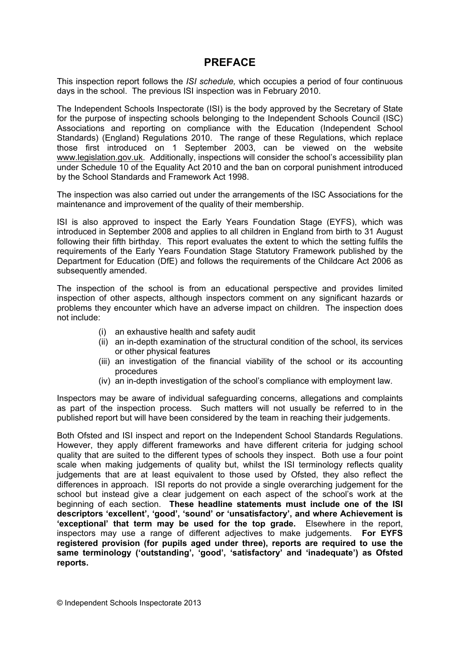## **PREFACE**

This inspection report follows the *ISI schedule,* which occupies a period of four continuous days in the school. The previous ISI inspection was in February 2010.

The Independent Schools Inspectorate (ISI) is the body approved by the Secretary of State for the purpose of inspecting schools belonging to the Independent Schools Council (ISC) Associations and reporting on compliance with the Education (Independent School Standards) (England) Regulations 2010. The range of these Regulations, which replace those first introduced on 1 September 2003, can be viewed on the website [www.legislation.gov.uk.](http://www.legislation.gov.uk) Additionally, inspections will consider the school's accessibility plan under Schedule 10 of the Equality Act 2010 and the ban on corporal punishment introduced by the School Standards and Framework Act 1998.

The inspection was also carried out under the arrangements of the ISC Associations for the maintenance and improvement of the quality of their membership.

ISI is also approved to inspect the Early Years Foundation Stage (EYFS), which was introduced in September 2008 and applies to all children in England from birth to 31 August following their fifth birthday. This report evaluates the extent to which the setting fulfils the requirements of the Early Years Foundation Stage Statutory Framework published by the Department for Education (DfE) and follows the requirements of the Childcare Act 2006 as subsequently amended.

The inspection of the school is from an educational perspective and provides limited inspection of other aspects, although inspectors comment on any significant hazards or problems they encounter which have an adverse impact on children. The inspection does not include:

- (i) an exhaustive health and safety audit
- (ii) an in-depth examination of the structural condition of the school, its services or other physical features
- (iii) an investigation of the financial viability of the school or its accounting procedures
- (iv) an in-depth investigation of the school's compliance with employment law.

Inspectors may be aware of individual safeguarding concerns, allegations and complaints as part of the inspection process. Such matters will not usually be referred to in the published report but will have been considered by the team in reaching their judgements.

Both Ofsted and ISI inspect and report on the Independent School Standards Regulations. However, they apply different frameworks and have different criteria for judging school quality that are suited to the different types of schools they inspect. Both use a four point scale when making judgements of quality but, whilst the ISI terminology reflects quality judgements that are at least equivalent to those used by Ofsted, they also reflect the differences in approach. ISI reports do not provide a single overarching judgement for the school but instead give a clear judgement on each aspect of the school's work at the beginning of each section. **These headline statements must include one of the ISI descriptors 'excellent', 'good', 'sound' or 'unsatisfactory', and where Achievement is 'exceptional' that term may be used for the top grade.** Elsewhere in the report, inspectors may use a range of different adjectives to make judgements. **For EYFS registered provision (for pupils aged under three), reports are required to use the same terminology ('outstanding', 'good', 'satisfactory' and 'inadequate') as Ofsted reports.**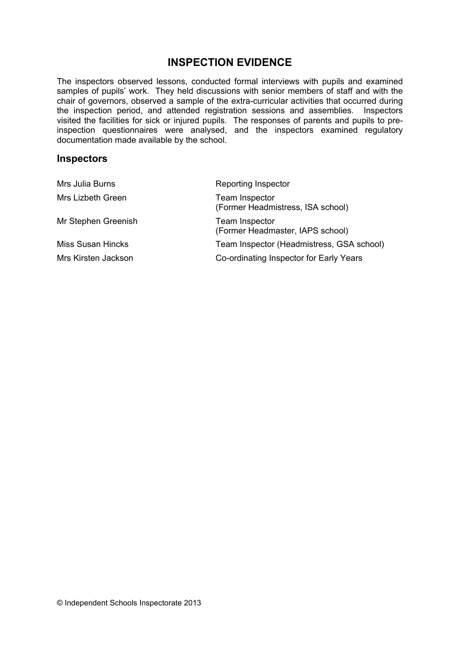# **INSPECTION EVIDENCE**

The inspectors observed lessons, conducted formal interviews with pupils and examined samples of pupils' work. They held discussions with senior members of staff and with the chair of governors, observed a sample of the extra-curricular activities that occurred during the inspection period, and attended registration sessions and assemblies. Inspectors visited the facilities for sick or injured pupils. The responses of parents and pupils to preinspection questionnaires were analysed, and the inspectors examined regulatory documentation made available by the school.

#### **Inspectors**

| Mrs Julia Burns          | Reporting Inspector                                        |  |
|--------------------------|------------------------------------------------------------|--|
| Mrs Lizbeth Green        | <b>Team Inspector</b><br>(Former Headmistress, ISA school) |  |
| Mr Stephen Greenish      | <b>Team Inspector</b><br>(Former Headmaster, IAPS school)  |  |
| <b>Miss Susan Hincks</b> | Team Inspector (Headmistress, GSA school)                  |  |
| Mrs Kirsten Jackson      | Co-ordinating Inspector for Early Years                    |  |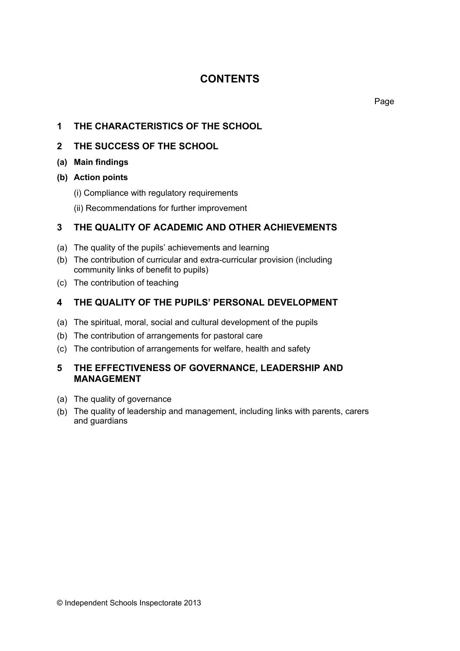# **CONTENTS**

## **1 THE CHARACTERISTICS OF THE SCHOOL**

#### **2 THE SUCCESS OF THE SCHOOL**

#### **(a) Main findings**

- **(b) Action points**
	- (i) Compliance with regulatory requirements
	- (ii) Recommendations for further improvement

## **3 THE QUALITY OF ACADEMIC AND OTHER ACHIEVEMENTS**

- (a) The quality of the pupils' achievements and learning
- (b) The contribution of curricular and extra-curricular provision (including community links of benefit to pupils)
- (c) The contribution of teaching

## **4 THE QUALITY OF THE PUPILS' PERSONAL DEVELOPMENT**

- (a) The spiritual, moral, social and cultural development of the pupils
- (b) The contribution of arrangements for pastoral care
- (c) The contribution of arrangements for welfare, health and safety

#### **5 THE EFFECTIVENESS OF GOVERNANCE, LEADERSHIP AND MANAGEMENT**

- (a) The quality of governance
- (b) The quality of leadership and management, including links with parents, carers and guardians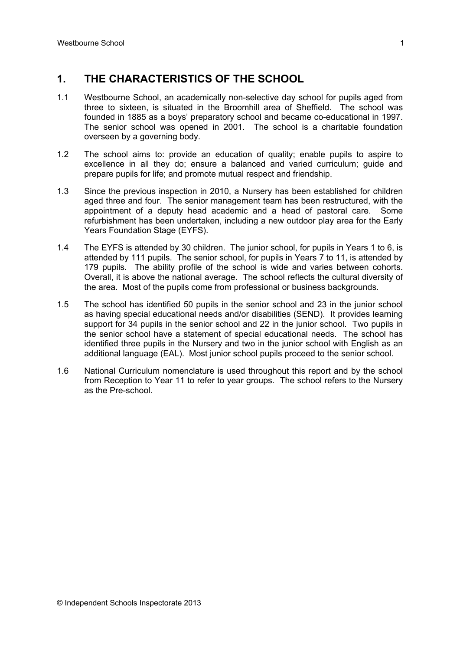## **1. THE CHARACTERISTICS OF THE SCHOOL**

- 1.1 Westbourne School, an academically non-selective day school for pupils aged from three to sixteen, is situated in the Broomhill area of Sheffield. The school was founded in 1885 as a boys' preparatory school and became co-educational in 1997. The senior school was opened in 2001. The school is a charitable foundation overseen by a governing body.
- 1.2 The school aims to: provide an education of quality; enable pupils to aspire to excellence in all they do; ensure a balanced and varied curriculum; guide and prepare pupils for life; and promote mutual respect and friendship.
- 1.3 Since the previous inspection in 2010, a Nursery has been established for children aged three and four. The senior management team has been restructured, with the appointment of a deputy head academic and a head of pastoral care. Some refurbishment has been undertaken, including a new outdoor play area for the Early Years Foundation Stage (EYFS).
- 1.4 The EYFS is attended by 30 children. The junior school, for pupils in Years 1 to 6, is attended by 111 pupils. The senior school, for pupils in Years 7 to 11, is attended by 179 pupils. The ability profile of the school is wide and varies between cohorts. Overall, it is above the national average. The school reflects the cultural diversity of the area. Most of the pupils come from professional or business backgrounds.
- 1.5 The school has identified 50 pupils in the senior school and 23 in the junior school as having special educational needs and/or disabilities (SEND). It provides learning support for 34 pupils in the senior school and 22 in the junior school. Two pupils in the senior school have a statement of special educational needs. The school has identified three pupils in the Nursery and two in the junior school with English as an additional language (EAL). Most junior school pupils proceed to the senior school.
- 1.6 National Curriculum nomenclature is used throughout this report and by the school from Reception to Year 11 to refer to year groups. The school refers to the Nursery as the Pre-school.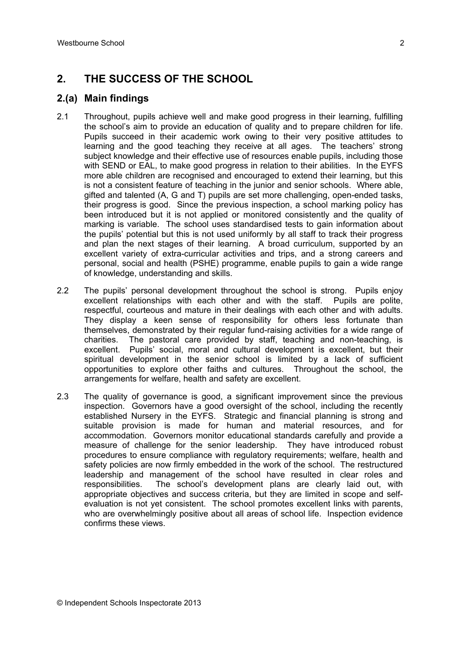# **2. THE SUCCESS OF THE SCHOOL**

#### **2.(a) Main findings**

- 2.1 Throughout, pupils achieve well and make good progress in their learning, fulfilling the school's aim to provide an education of quality and to prepare children for life. Pupils succeed in their academic work owing to their very positive attitudes to learning and the good teaching they receive at all ages. The teachers' strong subject knowledge and their effective use of resources enable pupils, including those with SEND or EAL, to make good progress in relation to their abilities. In the EYFS more able children are recognised and encouraged to extend their learning, but this is not a consistent feature of teaching in the junior and senior schools. Where able, gifted and talented (A, G and T) pupils are set more challenging, open-ended tasks, their progress is good. Since the previous inspection, a school marking policy has been introduced but it is not applied or monitored consistently and the quality of marking is variable. The school uses standardised tests to gain information about the pupils' potential but this is not used uniformly by all staff to track their progress and plan the next stages of their learning. A broad curriculum, supported by an excellent variety of extra-curricular activities and trips, and a strong careers and personal, social and health (PSHE) programme, enable pupils to gain a wide range of knowledge, understanding and skills.
- 2.2 The pupils' personal development throughout the school is strong. Pupils enjoy excellent relationships with each other and with the staff. Pupils are polite, respectful, courteous and mature in their dealings with each other and with adults. They display a keen sense of responsibility for others less fortunate than themselves, demonstrated by their regular fund-raising activities for a wide range of charities. The pastoral care provided by staff, teaching and non-teaching, is excellent. Pupils' social, moral and cultural development is excellent, but their spiritual development in the senior school is limited by a lack of sufficient opportunities to explore other faiths and cultures. Throughout the school, the arrangements for welfare, health and safety are excellent.
- 2.3 The quality of governance is good, a significant improvement since the previous inspection. Governors have a good oversight of the school, including the recently established Nursery in the EYFS. Strategic and financial planning is strong and suitable provision is made for human and material resources, and for accommodation. Governors monitor educational standards carefully and provide a measure of challenge for the senior leadership. They have introduced robust procedures to ensure compliance with regulatory requirements; welfare, health and safety policies are now firmly embedded in the work of the school. The restructured leadership and management of the school have resulted in clear roles and responsibilities. The school's development plans are clearly laid out, with appropriate objectives and success criteria, but they are limited in scope and selfevaluation is not yet consistent. The school promotes excellent links with parents, who are overwhelmingly positive about all areas of school life. Inspection evidence confirms these views.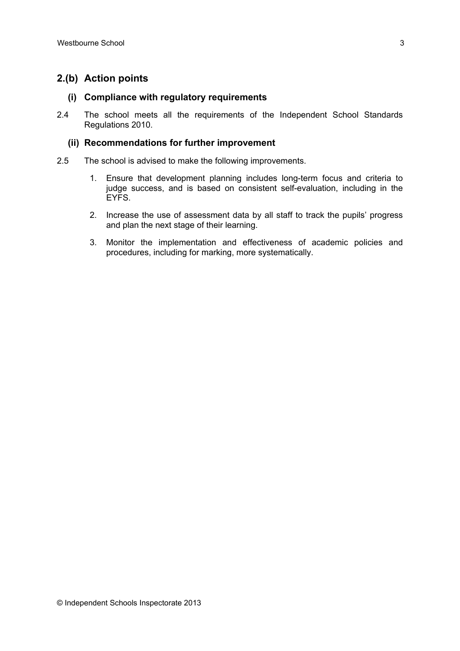## **2.(b) Action points**

#### **(i) Compliance with regulatory requirements**

2.4 The school meets all the requirements of the Independent School Standards Regulations 2010.

#### **(ii) Recommendations for further improvement**

- 2.5 The school is advised to make the following improvements.
	- 1. Ensure that development planning includes long-term focus and criteria to judge success, and is based on consistent self-evaluation, including in the EYFS.
	- 2. Increase the use of assessment data by all staff to track the pupils' progress and plan the next stage of their learning.
	- 3. Monitor the implementation and effectiveness of academic policies and procedures, including for marking, more systematically.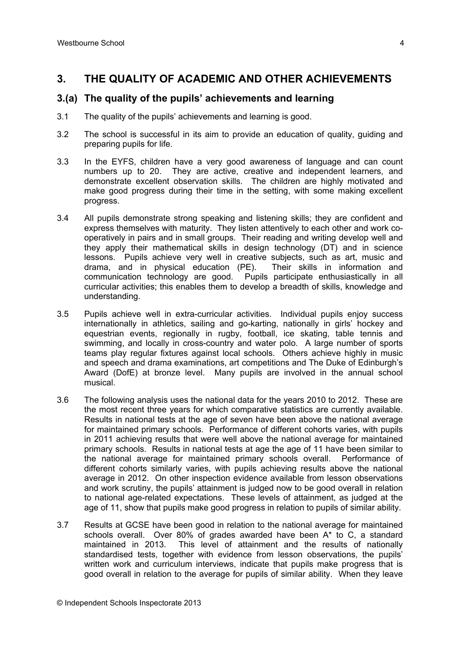## **3. THE QUALITY OF ACADEMIC AND OTHER ACHIEVEMENTS**

#### **3.(a) The quality of the pupils' achievements and learning**

- 3.1 The quality of the pupils' achievements and learning is good.
- 3.2 The school is successful in its aim to provide an education of quality, guiding and preparing pupils for life.
- 3.3 In the EYFS, children have a very good awareness of language and can count numbers up to 20. They are active, creative and independent learners, and demonstrate excellent observation skills. The children are highly motivated and make good progress during their time in the setting, with some making excellent progress.
- 3.4 All pupils demonstrate strong speaking and listening skills; they are confident and express themselves with maturity. They listen attentively to each other and work cooperatively in pairs and in small groups. Their reading and writing develop well and they apply their mathematical skills in design technology (DT) and in science lessons. Pupils achieve very well in creative subjects, such as art, music and drama, and in physical education (PE). Their skills in information and communication technology are good. Pupils participate enthusiastically in all curricular activities; this enables them to develop a breadth of skills, knowledge and understanding.
- 3.5 Pupils achieve well in extra-curricular activities. Individual pupils enjoy success internationally in athletics, sailing and go-karting, nationally in girls' hockey and equestrian events, regionally in rugby, football, ice skating, table tennis and swimming, and locally in cross-country and water polo. A large number of sports teams play regular fixtures against local schools. Others achieve highly in music and speech and drama examinations, art competitions and The Duke of Edinburgh's Award (DofE) at bronze level. Many pupils are involved in the annual school musical.
- 3.6 The following analysis uses the national data for the years 2010 to 2012. These are the most recent three years for which comparative statistics are currently available. Results in national tests at the age of seven have been above the national average for maintained primary schools. Performance of different cohorts varies, with pupils in 2011 achieving results that were well above the national average for maintained primary schools. Results in national tests at age the age of 11 have been similar to the national average for maintained primary schools overall. Performance of different cohorts similarly varies, with pupils achieving results above the national average in 2012. On other inspection evidence available from lesson observations and work scrutiny, the pupils' attainment is judged now to be good overall in relation to national age-related expectations. These levels of attainment, as judged at the age of 11, show that pupils make good progress in relation to pupils of similar ability.
- 3.7 Results at GCSE have been good in relation to the national average for maintained schools overall. Over 80% of grades awarded have been A\* to C, a standard maintained in 2013. This level of attainment and the results of nationally standardised tests, together with evidence from lesson observations, the pupils' written work and curriculum interviews, indicate that pupils make progress that is good overall in relation to the average for pupils of similar ability. When they leave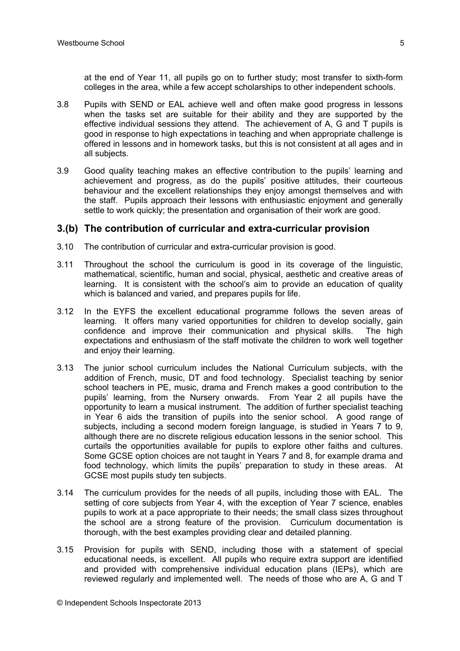at the end of Year 11, all pupils go on to further study; most transfer to sixth-form colleges in the area, while a few accept scholarships to other independent schools.

- 3.8 Pupils with SEND or EAL achieve well and often make good progress in lessons when the tasks set are suitable for their ability and they are supported by the effective individual sessions they attend. The achievement of A, G and T pupils is good in response to high expectations in teaching and when appropriate challenge is offered in lessons and in homework tasks, but this is not consistent at all ages and in all subjects.
- 3.9 Good quality teaching makes an effective contribution to the pupils' learning and achievement and progress, as do the pupils' positive attitudes, their courteous behaviour and the excellent relationships they enjoy amongst themselves and with the staff. Pupils approach their lessons with enthusiastic enjoyment and generally settle to work quickly; the presentation and organisation of their work are good.

#### **3.(b) The contribution of curricular and extra-curricular provision**

- 3.10 The contribution of curricular and extra-curricular provision is good.
- 3.11 Throughout the school the curriculum is good in its coverage of the linguistic, mathematical, scientific, human and social, physical, aesthetic and creative areas of learning. It is consistent with the school's aim to provide an education of quality which is balanced and varied, and prepares pupils for life.
- 3.12 In the EYFS the excellent educational programme follows the seven areas of learning. It offers many varied opportunities for children to develop socially, gain confidence and improve their communication and physical skills. The high expectations and enthusiasm of the staff motivate the children to work well together and enjoy their learning.
- 3.13 The junior school curriculum includes the National Curriculum subjects, with the addition of French, music, DT and food technology. Specialist teaching by senior school teachers in PE, music, drama and French makes a good contribution to the pupils' learning, from the Nursery onwards. From Year 2 all pupils have the opportunity to learn a musical instrument. The addition of further specialist teaching in Year 6 aids the transition of pupils into the senior school. A good range of subjects, including a second modern foreign language, is studied in Years 7 to 9, although there are no discrete religious education lessons in the senior school. This curtails the opportunities available for pupils to explore other faiths and cultures. Some GCSE option choices are not taught in Years 7 and 8, for example drama and food technology, which limits the pupils' preparation to study in these areas. At GCSE most pupils study ten subjects.
- 3.14 The curriculum provides for the needs of all pupils, including those with EAL. The setting of core subjects from Year 4, with the exception of Year 7 science, enables pupils to work at a pace appropriate to their needs; the small class sizes throughout the school are a strong feature of the provision. Curriculum documentation is thorough, with the best examples providing clear and detailed planning.
- 3.15 Provision for pupils with SEND, including those with a statement of special educational needs, is excellent. All pupils who require extra support are identified and provided with comprehensive individual education plans (IEPs), which are reviewed regularly and implemented well. The needs of those who are A, G and T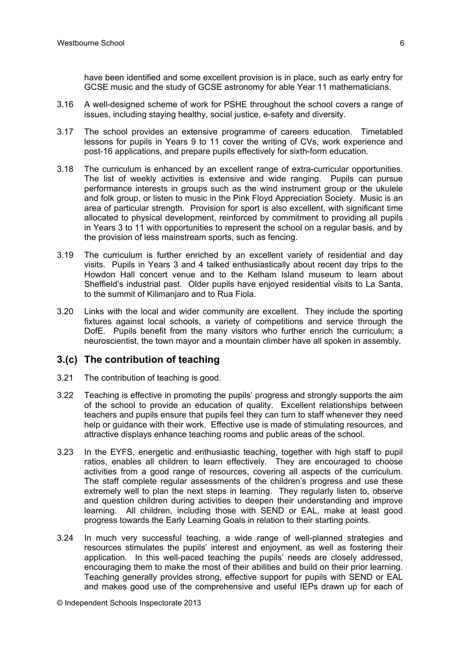have been identified and some excellent provision is in place, such as early entry for GCSE music and the study of GCSE astronomy for able Year 11 mathematicians.

- 3.16 A well-designed scheme of work for PSHE throughout the school covers a range of issues, including staying healthy, social justice, e-safety and diversity.
- 3.17 The school provides an extensive programme of careers education. Timetabled lessons for pupils in Years 9 to 11 cover the writing of CVs, work experience and post-16 applications, and prepare pupils effectively for sixth-form education.
- 3.18 The curriculum is enhanced by an excellent range of extra-curricular opportunities. The list of weekly activities is extensive and wide ranging. Pupils can pursue performance interests in groups such as the wind instrument group or the ukulele and folk group, or listen to music in the Pink Floyd Appreciation Society. Music is an area of particular strength. Provision for sport is also excellent, with significant time allocated to physical development, reinforced by commitment to providing all pupils in Years 3 to 11 with opportunities to represent the school on a regular basis, and by the provision of less mainstream sports, such as fencing.
- 3.19 The curriculum is further enriched by an excellent variety of residential and day visits. Pupils in Years 3 and 4 talked enthusiastically about recent day trips to the Howdon Hall concert venue and to the Kelham Island museum to learn about Sheffield's industrial past. Older pupils have enjoyed residential visits to La Santa, to the summit of Kilimanjaro and to Rua Fiola.
- 3.20 Links with the local and wider community are excellent. They include the sporting fixtures against local schools, a variety of competitions and service through the DofE. Pupils benefit from the many visitors who further enrich the curriculum; a neuroscientist, the town mayor and a mountain climber have all spoken in assembly.

#### **3.(c) The contribution of teaching**

- 3.21 The contribution of teaching is good.
- 3.22 Teaching is effective in promoting the pupils' progress and strongly supports the aim of the school to provide an education of quality. Excellent relationships between teachers and pupils ensure that pupils feel they can turn to staff whenever they need help or guidance with their work. Effective use is made of stimulating resources, and attractive displays enhance teaching rooms and public areas of the school.
- 3.23 In the EYFS, energetic and enthusiastic teaching, together with high staff to pupil ratios, enables all children to learn effectively. They are encouraged to choose activities from a good range of resources, covering all aspects of the curriculum. The staff complete regular assessments of the children's progress and use these extremely well to plan the next steps in learning. They regularly listen to, observe and question children during activities to deepen their understanding and improve learning. All children, including those with SEND or EAL, make at least good progress towards the Early Learning Goals in relation to their starting points.
- 3.24 In much very successful teaching, a wide range of well-planned strategies and resources stimulates the pupils' interest and enjoyment, as well as fostering their application. In this well-paced teaching the pupils' needs are closely addressed, encouraging them to make the most of their abilities and build on their prior learning. Teaching generally provides strong, effective support for pupils with SEND or EAL and makes good use of the comprehensive and useful IEPs drawn up for each of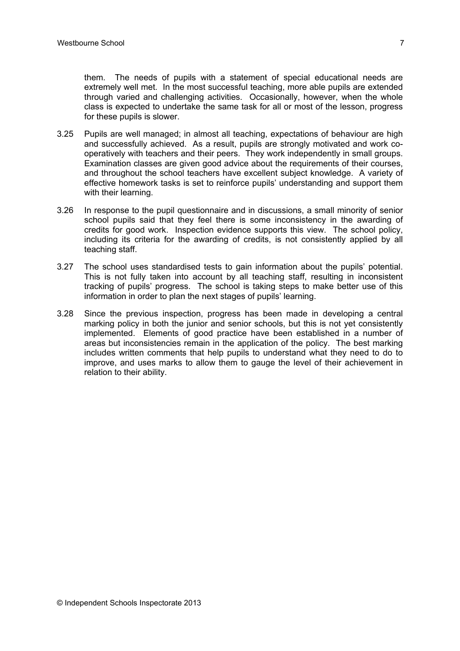them. The needs of pupils with a statement of special educational needs are extremely well met. In the most successful teaching, more able pupils are extended through varied and challenging activities. Occasionally, however, when the whole class is expected to undertake the same task for all or most of the lesson, progress for these pupils is slower.

- 3.25 Pupils are well managed; in almost all teaching, expectations of behaviour are high and successfully achieved. As a result, pupils are strongly motivated and work cooperatively with teachers and their peers. They work independently in small groups. Examination classes are given good advice about the requirements of their courses, and throughout the school teachers have excellent subject knowledge. A variety of effective homework tasks is set to reinforce pupils' understanding and support them with their learning.
- 3.26 In response to the pupil questionnaire and in discussions, a small minority of senior school pupils said that they feel there is some inconsistency in the awarding of credits for good work. Inspection evidence supports this view. The school policy, including its criteria for the awarding of credits, is not consistently applied by all teaching staff.
- 3.27 The school uses standardised tests to gain information about the pupils' potential. This is not fully taken into account by all teaching staff, resulting in inconsistent tracking of pupils' progress. The school is taking steps to make better use of this information in order to plan the next stages of pupils' learning.
- 3.28 Since the previous inspection, progress has been made in developing a central marking policy in both the junior and senior schools, but this is not yet consistently implemented. Elements of good practice have been established in a number of areas but inconsistencies remain in the application of the policy. The best marking includes written comments that help pupils to understand what they need to do to improve, and uses marks to allow them to gauge the level of their achievement in relation to their ability.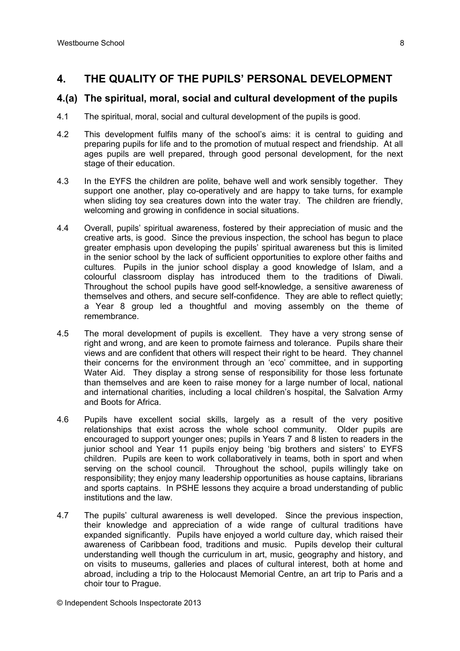## **4. THE QUALITY OF THE PUPILS' PERSONAL DEVELOPMENT**

#### **4.(a) The spiritual, moral, social and cultural development of the pupils**

- 4.1 The spiritual, moral, social and cultural development of the pupils is good.
- 4.2 This development fulfils many of the school's aims: it is central to guiding and preparing pupils for life and to the promotion of mutual respect and friendship. At all ages pupils are well prepared, through good personal development, for the next stage of their education.
- 4.3 In the EYFS the children are polite, behave well and work sensibly together. They support one another, play co-operatively and are happy to take turns, for example when sliding toy sea creatures down into the water tray. The children are friendly, welcoming and growing in confidence in social situations.
- 4.4 Overall, pupils' spiritual awareness, fostered by their appreciation of music and the creative arts, is good. Since the previous inspection, the school has begun to place greater emphasis upon developing the pupils' spiritual awareness but this is limited in the senior school by the lack of sufficient opportunities to explore other faiths and cultures. Pupils in the junior school display a good knowledge of Islam, and a colourful classroom display has introduced them to the traditions of Diwali. Throughout the school pupils have good self-knowledge, a sensitive awareness of themselves and others, and secure self-confidence. They are able to reflect quietly; a Year 8 group led a thoughtful and moving assembly on the theme of remembrance.
- 4.5 The moral development of pupils is excellent. They have a very strong sense of right and wrong, and are keen to promote fairness and tolerance. Pupils share their views and are confident that others will respect their right to be heard. They channel their concerns for the environment through an 'eco' committee, and in supporting Water Aid. They display a strong sense of responsibility for those less fortunate than themselves and are keen to raise money for a large number of local, national and international charities, including a local children's hospital, the Salvation Army and Boots for Africa.
- 4.6 Pupils have excellent social skills, largely as a result of the very positive relationships that exist across the whole school community. Older pupils are encouraged to support younger ones; pupils in Years 7 and 8 listen to readers in the junior school and Year 11 pupils enjoy being 'big brothers and sisters' to EYFS children. Pupils are keen to work collaboratively in teams, both in sport and when serving on the school council. Throughout the school, pupils willingly take on responsibility; they enjoy many leadership opportunities as house captains, librarians and sports captains. In PSHE lessons they acquire a broad understanding of public institutions and the law.
- 4.7 The pupils' cultural awareness is well developed. Since the previous inspection, their knowledge and appreciation of a wide range of cultural traditions have expanded significantly. Pupils have enjoyed a world culture day, which raised their awareness of Caribbean food, traditions and music. Pupils develop their cultural understanding well though the curriculum in art, music, geography and history, and on visits to museums, galleries and places of cultural interest, both at home and abroad, including a trip to the Holocaust Memorial Centre, an art trip to Paris and a choir tour to Prague.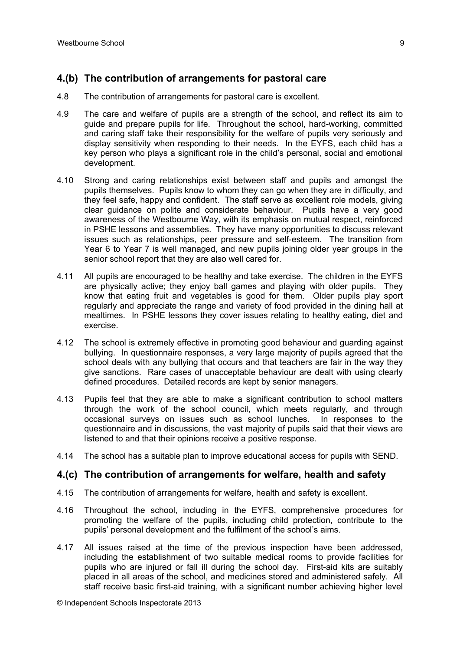# **4.(b) The contribution of arrangements for pastoral care**

- 4.8 The contribution of arrangements for pastoral care is excellent.
- 4.9 The care and welfare of pupils are a strength of the school, and reflect its aim to guide and prepare pupils for life. Throughout the school, hard-working, committed and caring staff take their responsibility for the welfare of pupils very seriously and display sensitivity when responding to their needs. In the EYFS, each child has a key person who plays a significant role in the child's personal, social and emotional development.
- 4.10 Strong and caring relationships exist between staff and pupils and amongst the pupils themselves. Pupils know to whom they can go when they are in difficulty, and they feel safe, happy and confident. The staff serve as excellent role models, giving clear guidance on polite and considerate behaviour. Pupils have a very good awareness of the Westbourne Way, with its emphasis on mutual respect, reinforced in PSHE lessons and assemblies. They have many opportunities to discuss relevant issues such as relationships, peer pressure and self-esteem. The transition from Year 6 to Year 7 is well managed, and new pupils joining older year groups in the senior school report that they are also well cared for.
- 4.11 All pupils are encouraged to be healthy and take exercise. The children in the EYFS are physically active; they enjoy ball games and playing with older pupils. They know that eating fruit and vegetables is good for them. Older pupils play sport regularly and appreciate the range and variety of food provided in the dining hall at mealtimes. In PSHE lessons they cover issues relating to healthy eating, diet and exercise.
- 4.12 The school is extremely effective in promoting good behaviour and guarding against bullying. In questionnaire responses, a very large majority of pupils agreed that the school deals with any bullying that occurs and that teachers are fair in the way they give sanctions. Rare cases of unacceptable behaviour are dealt with using clearly defined procedures. Detailed records are kept by senior managers.
- 4.13 Pupils feel that they are able to make a significant contribution to school matters through the work of the school council, which meets regularly, and through occasional surveys on issues such as school lunches. In responses to the questionnaire and in discussions, the vast majority of pupils said that their views are listened to and that their opinions receive a positive response.
- 4.14 The school has a suitable plan to improve educational access for pupils with SEND.

## **4.(c) The contribution of arrangements for welfare, health and safety**

- 4.15 The contribution of arrangements for welfare, health and safety is excellent.
- 4.16 Throughout the school, including in the EYFS, comprehensive procedures for promoting the welfare of the pupils, including child protection, contribute to the pupils' personal development and the fulfilment of the school's aims.
- 4.17 All issues raised at the time of the previous inspection have been addressed, including the establishment of two suitable medical rooms to provide facilities for pupils who are injured or fall ill during the school day. First-aid kits are suitably placed in all areas of the school, and medicines stored and administered safely. All staff receive basic first-aid training, with a significant number achieving higher level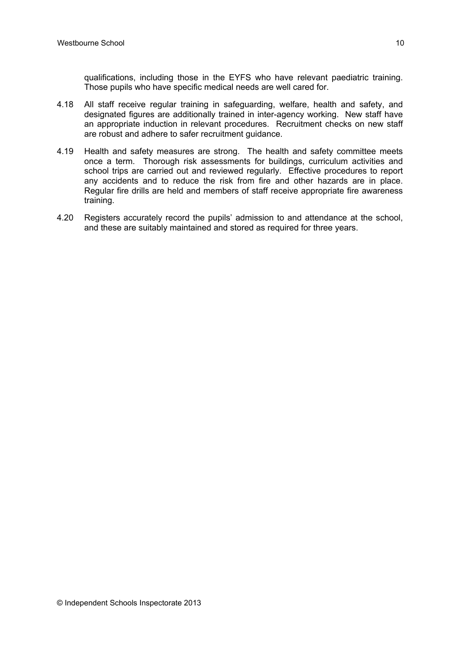qualifications, including those in the EYFS who have relevant paediatric training. Those pupils who have specific medical needs are well cared for.

- 4.18 All staff receive regular training in safeguarding, welfare, health and safety, and designated figures are additionally trained in inter-agency working. New staff have an appropriate induction in relevant procedures. Recruitment checks on new staff are robust and adhere to safer recruitment guidance.
- 4.19 Health and safety measures are strong. The health and safety committee meets once a term. Thorough risk assessments for buildings, curriculum activities and school trips are carried out and reviewed regularly. Effective procedures to report any accidents and to reduce the risk from fire and other hazards are in place. Regular fire drills are held and members of staff receive appropriate fire awareness training.
- 4.20 Registers accurately record the pupils' admission to and attendance at the school, and these are suitably maintained and stored as required for three years.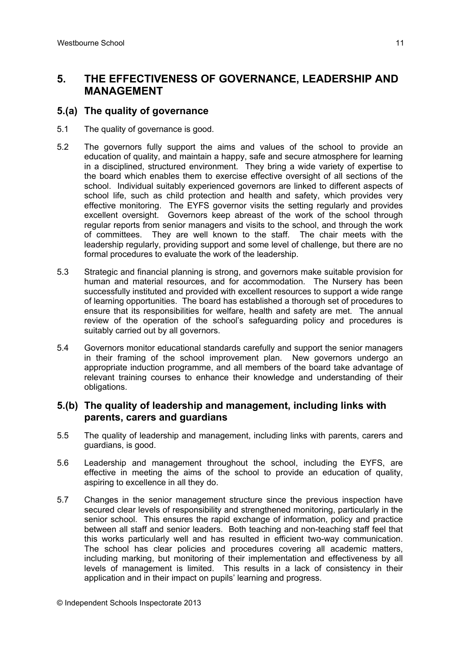# **5. THE EFFECTIVENESS OF GOVERNANCE, LEADERSHIP AND MANAGEMENT**

## **5.(a) The quality of governance**

- 5.1 The quality of governance is good.
- 5.2 The governors fully support the aims and values of the school to provide an education of quality, and maintain a happy, safe and secure atmosphere for learning in a disciplined, structured environment. They bring a wide variety of expertise to the board which enables them to exercise effective oversight of all sections of the school. Individual suitably experienced governors are linked to different aspects of school life, such as child protection and health and safety, which provides very effective monitoring. The EYFS governor visits the setting regularly and provides excellent oversight. Governors keep abreast of the work of the school through regular reports from senior managers and visits to the school, and through the work of committees. They are well known to the staff. The chair meets with the leadership regularly, providing support and some level of challenge, but there are no formal procedures to evaluate the work of the leadership.
- 5.3 Strategic and financial planning is strong, and governors make suitable provision for human and material resources, and for accommodation. The Nursery has been successfully instituted and provided with excellent resources to support a wide range of learning opportunities. The board has established a thorough set of procedures to ensure that its responsibilities for welfare, health and safety are met. The annual review of the operation of the school's safeguarding policy and procedures is suitably carried out by all governors.
- 5.4 Governors monitor educational standards carefully and support the senior managers in their framing of the school improvement plan. New governors undergo an appropriate induction programme, and all members of the board take advantage of relevant training courses to enhance their knowledge and understanding of their obligations.

#### **5.(b) The quality of leadership and management, including links with parents, carers and guardians**

- 5.5 The quality of leadership and management, including links with parents, carers and guardians, is good.
- 5.6 Leadership and management throughout the school, including the EYFS, are effective in meeting the aims of the school to provide an education of quality, aspiring to excellence in all they do.
- 5.7 Changes in the senior management structure since the previous inspection have secured clear levels of responsibility and strengthened monitoring, particularly in the senior school. This ensures the rapid exchange of information, policy and practice between all staff and senior leaders. Both teaching and non-teaching staff feel that this works particularly well and has resulted in efficient two-way communication. The school has clear policies and procedures covering all academic matters, including marking, but monitoring of their implementation and effectiveness by all levels of management is limited. This results in a lack of consistency in their application and in their impact on pupils' learning and progress.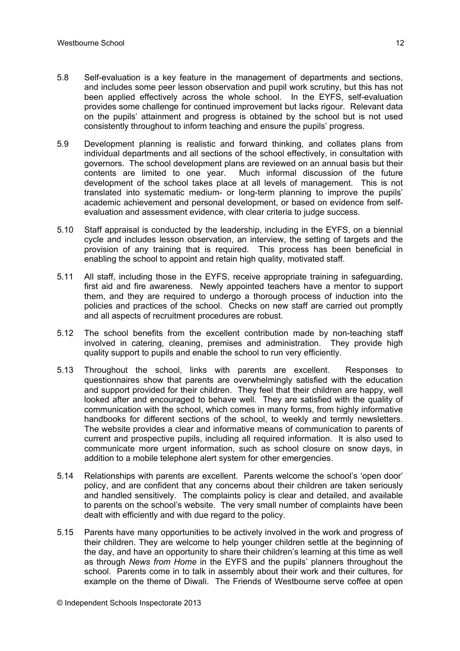- 5.8 Self-evaluation is a key feature in the management of departments and sections, and includes some peer lesson observation and pupil work scrutiny, but this has not been applied effectively across the whole school. In the EYFS, self-evaluation provides some challenge for continued improvement but lacks rigour. Relevant data on the pupils' attainment and progress is obtained by the school but is not used consistently throughout to inform teaching and ensure the pupils' progress.
- 5.9 Development planning is realistic and forward thinking, and collates plans from individual departments and all sections of the school effectively, in consultation with governors. The school development plans are reviewed on an annual basis but their contents are limited to one year. Much informal discussion of the future development of the school takes place at all levels of management. This is not translated into systematic medium- or long-term planning to improve the pupils' academic achievement and personal development, or based on evidence from selfevaluation and assessment evidence, with clear criteria to judge success.
- 5.10 Staff appraisal is conducted by the leadership, including in the EYFS, on a biennial cycle and includes lesson observation, an interview, the setting of targets and the provision of any training that is required. This process has been beneficial in enabling the school to appoint and retain high quality, motivated staff.
- 5.11 All staff, including those in the EYFS, receive appropriate training in safeguarding, first aid and fire awareness. Newly appointed teachers have a mentor to support them, and they are required to undergo a thorough process of induction into the policies and practices of the school. Checks on new staff are carried out promptly and all aspects of recruitment procedures are robust.
- 5.12 The school benefits from the excellent contribution made by non-teaching staff involved in catering, cleaning, premises and administration. They provide high quality support to pupils and enable the school to run very efficiently.
- 5.13 Throughout the school, links with parents are excellent. Responses to questionnaires show that parents are overwhelmingly satisfied with the education and support provided for their children. They feel that their children are happy, well looked after and encouraged to behave well. They are satisfied with the quality of communication with the school, which comes in many forms, from highly informative handbooks for different sections of the school, to weekly and termly newsletters. The website provides a clear and informative means of communication to parents of current and prospective pupils, including all required information. It is also used to communicate more urgent information, such as school closure on snow days, in addition to a mobile telephone alert system for other emergencies.
- 5.14 Relationships with parents are excellent. Parents welcome the school's 'open door' policy, and are confident that any concerns about their children are taken seriously and handled sensitively. The complaints policy is clear and detailed, and available to parents on the school's website. The very small number of complaints have been dealt with efficiently and with due regard to the policy.
- 5.15 Parents have many opportunities to be actively involved in the work and progress of their children. They are welcome to help younger children settle at the beginning of the day, and have an opportunity to share their children's learning at this time as well as through *News from Home* in the EYFS and the pupils' planners throughout the school. Parents come in to talk in assembly about their work and their cultures, for example on the theme of Diwali. The Friends of Westbourne serve coffee at open